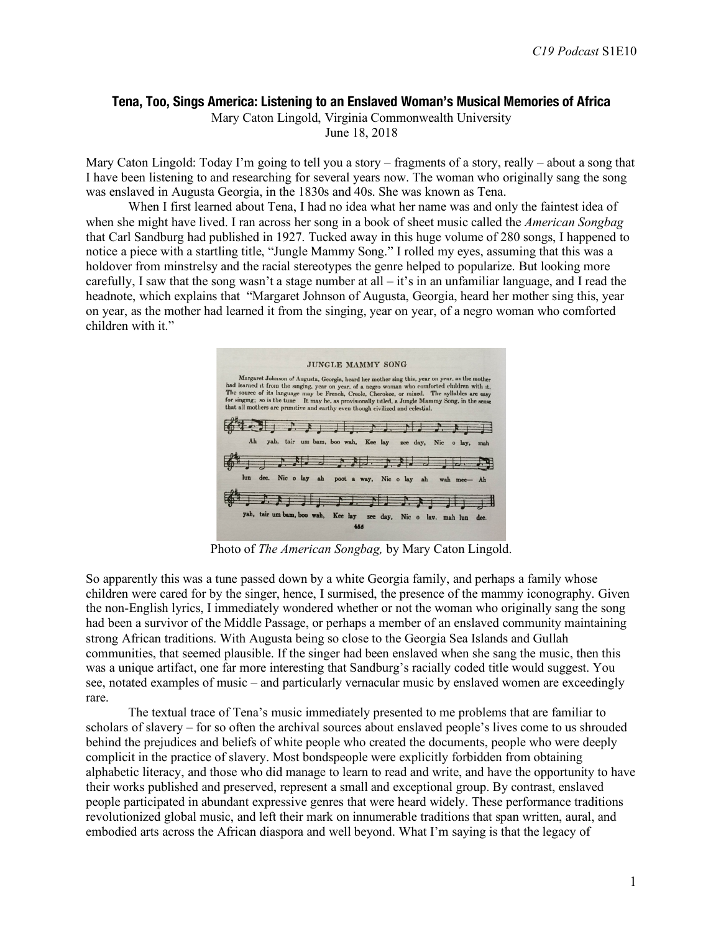### **Tena, Too, Sings America: Listening to an Enslaved Woman's Musical Memories of Africa**

Mary Caton Lingold, Virginia Commonwealth University June 18, 2018

Mary Caton Lingold: Today I'm going to tell you a story – fragments of a story, really – about a song that I have been listening to and researching for several years now. The woman who originally sang the song was enslaved in Augusta Georgia, in the 1830s and 40s. She was known as Tena.

When I first learned about Tena, I had no idea what her name was and only the faintest idea of when she might have lived. I ran across her song in a book of sheet music called the *American Songbag* that Carl Sandburg had published in 1927. Tucked away in this huge volume of 280 songs, I happened to notice a piece with a startling title, "Jungle Mammy Song." I rolled my eyes, assuming that this was a holdover from minstrelsy and the racial stereotypes the genre helped to popularize. But looking more carefully. I saw that the song wasn't a stage number at all  $-i$  is in an unfamiliar language, and I read the headnote, which explains that "Margaret Johnson of Augusta, Georgia, heard her mother sing this, year on year, as the mother had learned it from the singing, year on year, of a negro woman who comforted children with it."



Photo of *The American Songbag,* by Mary Caton Lingold.

So apparently this was a tune passed down by a white Georgia family, and perhaps a family whose children were cared for by the singer, hence, I surmised, the presence of the mammy iconography. Given the non-English lyrics, I immediately wondered whether or not the woman who originally sang the song had been a survivor of the Middle Passage, or perhaps a member of an enslaved community maintaining strong African traditions. With Augusta being so close to the Georgia Sea Islands and Gullah communities, that seemed plausible. If the singer had been enslaved when she sang the music, then this was a unique artifact, one far more interesting that Sandburg's racially coded title would suggest. You see, notated examples of music – and particularly vernacular music by enslaved women are exceedingly rare.

The textual trace of Tena's music immediately presented to me problems that are familiar to scholars of slavery – for so often the archival sources about enslaved people's lives come to us shrouded behind the prejudices and beliefs of white people who created the documents, people who were deeply complicit in the practice of slavery. Most bondspeople were explicitly forbidden from obtaining alphabetic literacy, and those who did manage to learn to read and write, and have the opportunity to have their works published and preserved, represent a small and exceptional group. By contrast, enslaved people participated in abundant expressive genres that were heard widely. These performance traditions revolutionized global music, and left their mark on innumerable traditions that span written, aural, and embodied arts across the African diaspora and well beyond. What I'm saying is that the legacy of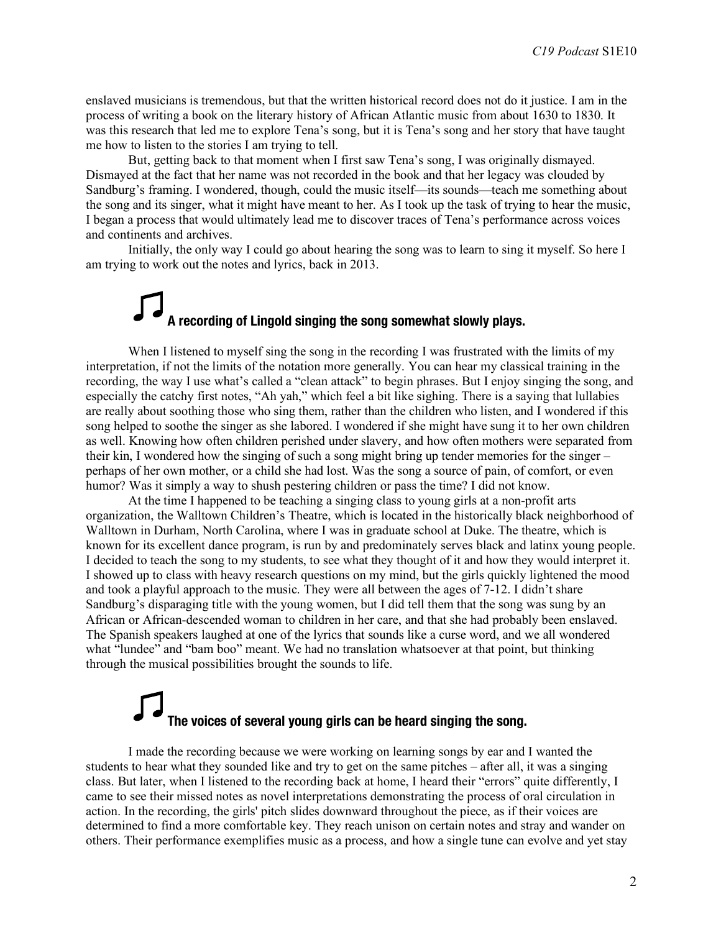enslaved musicians is tremendous, but that the written historical record does not do it justice. I am in the process of writing a book on the literary history of African Atlantic music from about 1630 to 1830. It was this research that led me to explore Tena's song, but it is Tena's song and her story that have taught me how to listen to the stories I am trying to tell.

But, getting back to that moment when I first saw Tena's song, I was originally dismayed. Dismayed at the fact that her name was not recorded in the book and that her legacy was clouded by Sandburg's framing. I wondered, though, could the music itself—its sounds—teach me something about the song and its singer, what it might have meant to her. As I took up the task of trying to hear the music, I began a process that would ultimately lead me to discover traces of Tena's performance across voices and continents and archives.

Initially, the only way I could go about hearing the song was to learn to sing it myself. So here I am trying to work out the notes and lyrics, back in 2013.

# **A recording of Lingold singing the song somewhat slowly plays.**

When I listened to myself sing the song in the recording I was frustrated with the limits of my interpretation, if not the limits of the notation more generally. You can hear my classical training in the recording, the way I use what's called a "clean attack" to begin phrases. But I enjoy singing the song, and especially the catchy first notes, "Ah yah," which feel a bit like sighing. There is a saying that lullabies are really about soothing those who sing them, rather than the children who listen, and I wondered if this song helped to soothe the singer as she labored. I wondered if she might have sung it to her own children as well. Knowing how often children perished under slavery, and how often mothers were separated from their kin, I wondered how the singing of such a song might bring up tender memories for the singer – perhaps of her own mother, or a child she had lost. Was the song a source of pain, of comfort, or even humor? Was it simply a way to shush pestering children or pass the time? I did not know.

At the time I happened to be teaching a singing class to young girls at a non-profit arts organization, the Walltown Children's Theatre, which is located in the historically black neighborhood of Walltown in Durham, North Carolina, where I was in graduate school at Duke. The theatre, which is known for its excellent dance program, is run by and predominately serves black and latinx young people. I decided to teach the song to my students, to see what they thought of it and how they would interpret it. I showed up to class with heavy research questions on my mind, but the girls quickly lightened the mood and took a playful approach to the music. They were all between the ages of 7-12. I didn't share Sandburg's disparaging title with the young women, but I did tell them that the song was sung by an African or African-descended woman to children in her care, and that she had probably been enslaved. The Spanish speakers laughed at one of the lyrics that sounds like a curse word, and we all wondered what "lundee" and "bam boo" meant. We had no translation whatsoever at that point, but thinking through the musical possibilities brought the sounds to life.

## **The voices of several young girls can be heard singing the song.**

I made the recording because we were working on learning songs by ear and I wanted the students to hear what they sounded like and try to get on the same pitches – after all, it was a singing class. But later, when I listened to the recording back at home, I heard their "errors" quite differently, I came to see their missed notes as novel interpretations demonstrating the process of oral circulation in action. In the recording, the girls' pitch slides downward throughout the piece, as if their voices are determined to find a more comfortable key. They reach unison on certain notes and stray and wander on others. Their performance exemplifies music as a process, and how a single tune can evolve and yet stay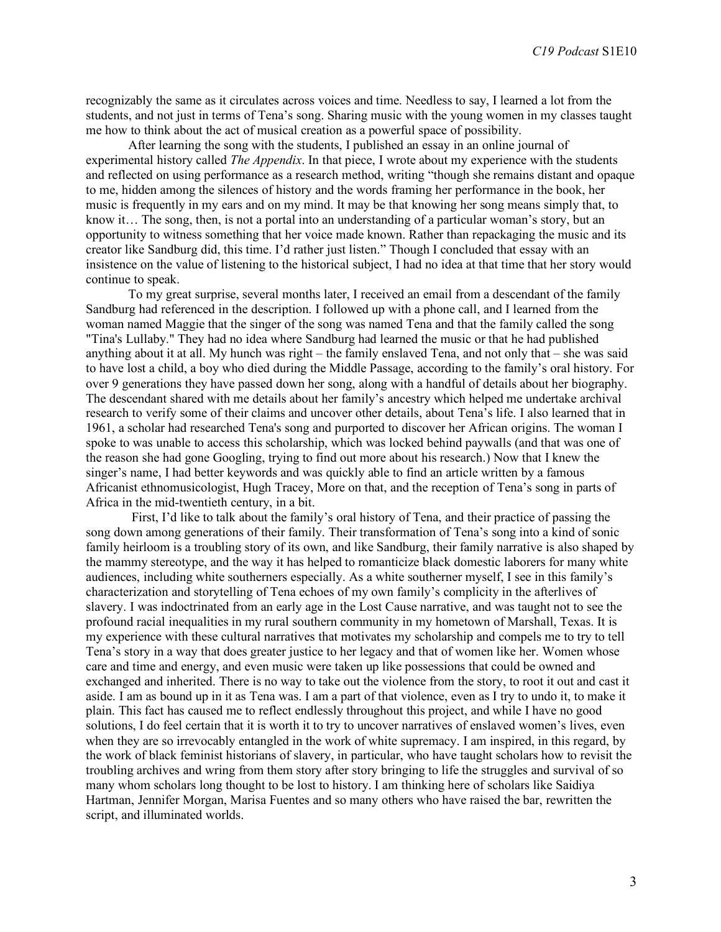recognizably the same as it circulates across voices and time. Needless to say, I learned a lot from the students, and not just in terms of Tena's song. Sharing music with the young women in my classes taught me how to think about the act of musical creation as a powerful space of possibility.

After learning the song with the students, I published an essay in an online journal of experimental history called *The Appendix*. In that piece, I wrote about my experience with the students and reflected on using performance as a research method, writing "though she remains distant and opaque to me, hidden among the silences of history and the words framing her performance in the book, her music is frequently in my ears and on my mind. It may be that knowing her song means simply that, to know it… The song, then, is not a portal into an understanding of a particular woman's story, but an opportunity to witness something that her voice made known. Rather than repackaging the music and its creator like Sandburg did, this time. I'd rather just listen." Though I concluded that essay with an insistence on the value of listening to the historical subject, I had no idea at that time that her story would continue to speak.

To my great surprise, several months later, I received an email from a descendant of the family Sandburg had referenced in the description. I followed up with a phone call, and I learned from the woman named Maggie that the singer of the song was named Tena and that the family called the song "Tina's Lullaby." They had no idea where Sandburg had learned the music or that he had published anything about it at all. My hunch was right – the family enslaved Tena, and not only that – she was said to have lost a child, a boy who died during the Middle Passage, according to the family's oral history. For over 9 generations they have passed down her song, along with a handful of details about her biography. The descendant shared with me details about her family's ancestry which helped me undertake archival research to verify some of their claims and uncover other details, about Tena's life. I also learned that in 1961, a scholar had researched Tena's song and purported to discover her African origins. The woman I spoke to was unable to access this scholarship, which was locked behind paywalls (and that was one of the reason she had gone Googling, trying to find out more about his research.) Now that I knew the singer's name, I had better keywords and was quickly able to find an article written by a famous Africanist ethnomusicologist, Hugh Tracey, More on that, and the reception of Tena's song in parts of Africa in the mid-twentieth century, in a bit.

First, I'd like to talk about the family's oral history of Tena, and their practice of passing the song down among generations of their family. Their transformation of Tena's song into a kind of sonic family heirloom is a troubling story of its own, and like Sandburg, their family narrative is also shaped by the mammy stereotype, and the way it has helped to romanticize black domestic laborers for many white audiences, including white southerners especially. As a white southerner myself, I see in this family's characterization and storytelling of Tena echoes of my own family's complicity in the afterlives of slavery. I was indoctrinated from an early age in the Lost Cause narrative, and was taught not to see the profound racial inequalities in my rural southern community in my hometown of Marshall, Texas. It is my experience with these cultural narratives that motivates my scholarship and compels me to try to tell Tena's story in a way that does greater justice to her legacy and that of women like her. Women whose care and time and energy, and even music were taken up like possessions that could be owned and exchanged and inherited. There is no way to take out the violence from the story, to root it out and cast it aside. I am as bound up in it as Tena was. I am a part of that violence, even as I try to undo it, to make it plain. This fact has caused me to reflect endlessly throughout this project, and while I have no good solutions, I do feel certain that it is worth it to try to uncover narratives of enslaved women's lives, even when they are so irrevocably entangled in the work of white supremacy. I am inspired, in this regard, by the work of black feminist historians of slavery, in particular, who have taught scholars how to revisit the troubling archives and wring from them story after story bringing to life the struggles and survival of so many whom scholars long thought to be lost to history. I am thinking here of scholars like Saidiya Hartman, Jennifer Morgan, Marisa Fuentes and so many others who have raised the bar, rewritten the script, and illuminated worlds.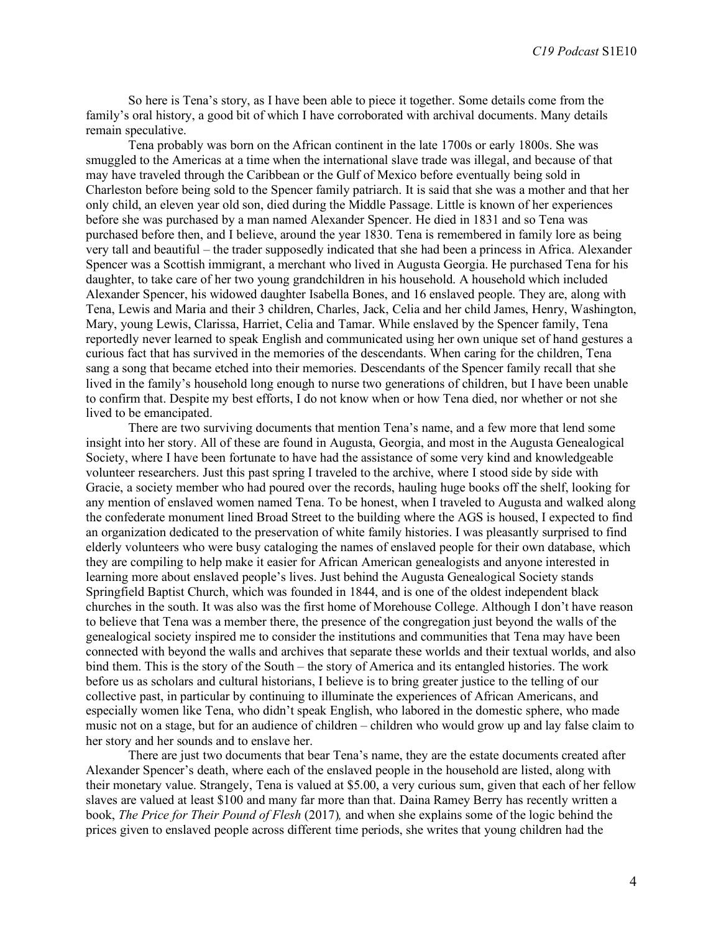So here is Tena's story, as I have been able to piece it together. Some details come from the family's oral history, a good bit of which I have corroborated with archival documents. Many details remain speculative.

Tena probably was born on the African continent in the late 1700s or early 1800s. She was smuggled to the Americas at a time when the international slave trade was illegal, and because of that may have traveled through the Caribbean or the Gulf of Mexico before eventually being sold in Charleston before being sold to the Spencer family patriarch. It is said that she was a mother and that her only child, an eleven year old son, died during the Middle Passage. Little is known of her experiences before she was purchased by a man named Alexander Spencer. He died in 1831 and so Tena was purchased before then, and I believe, around the year 1830. Tena is remembered in family lore as being very tall and beautiful – the trader supposedly indicated that she had been a princess in Africa. Alexander Spencer was a Scottish immigrant, a merchant who lived in Augusta Georgia. He purchased Tena for his daughter, to take care of her two young grandchildren in his household. A household which included Alexander Spencer, his widowed daughter Isabella Bones, and 16 enslaved people. They are, along with Tena, Lewis and Maria and their 3 children, Charles, Jack, Celia and her child James, Henry, Washington, Mary, young Lewis, Clarissa, Harriet, Celia and Tamar. While enslaved by the Spencer family, Tena reportedly never learned to speak English and communicated using her own unique set of hand gestures a curious fact that has survived in the memories of the descendants. When caring for the children, Tena sang a song that became etched into their memories. Descendants of the Spencer family recall that she lived in the family's household long enough to nurse two generations of children, but I have been unable to confirm that. Despite my best efforts, I do not know when or how Tena died, nor whether or not she lived to be emancipated.

There are two surviving documents that mention Tena's name, and a few more that lend some insight into her story. All of these are found in Augusta, Georgia, and most in the Augusta Genealogical Society, where I have been fortunate to have had the assistance of some very kind and knowledgeable volunteer researchers. Just this past spring I traveled to the archive, where I stood side by side with Gracie, a society member who had poured over the records, hauling huge books off the shelf, looking for any mention of enslaved women named Tena. To be honest, when I traveled to Augusta and walked along the confederate monument lined Broad Street to the building where the AGS is housed, I expected to find an organization dedicated to the preservation of white family histories. I was pleasantly surprised to find elderly volunteers who were busy cataloging the names of enslaved people for their own database, which they are compiling to help make it easier for African American genealogists and anyone interested in learning more about enslaved people's lives. Just behind the Augusta Genealogical Society stands Springfield Baptist Church, which was founded in 1844, and is one of the oldest independent black churches in the south. It was also was the first home of Morehouse College. Although I don't have reason to believe that Tena was a member there, the presence of the congregation just beyond the walls of the genealogical society inspired me to consider the institutions and communities that Tena may have been connected with beyond the walls and archives that separate these worlds and their textual worlds, and also bind them. This is the story of the South – the story of America and its entangled histories. The work before us as scholars and cultural historians, I believe is to bring greater justice to the telling of our collective past, in particular by continuing to illuminate the experiences of African Americans, and especially women like Tena, who didn't speak English, who labored in the domestic sphere, who made music not on a stage, but for an audience of children – children who would grow up and lay false claim to her story and her sounds and to enslave her.

There are just two documents that bear Tena's name, they are the estate documents created after Alexander Spencer's death, where each of the enslaved people in the household are listed, along with their monetary value. Strangely, Tena is valued at \$5.00, a very curious sum, given that each of her fellow slaves are valued at least \$100 and many far more than that. Daina Ramey Berry has recently written a book, *The Price for Their Pound of Flesh* (2017)*,* and when she explains some of the logic behind the prices given to enslaved people across different time periods, she writes that young children had the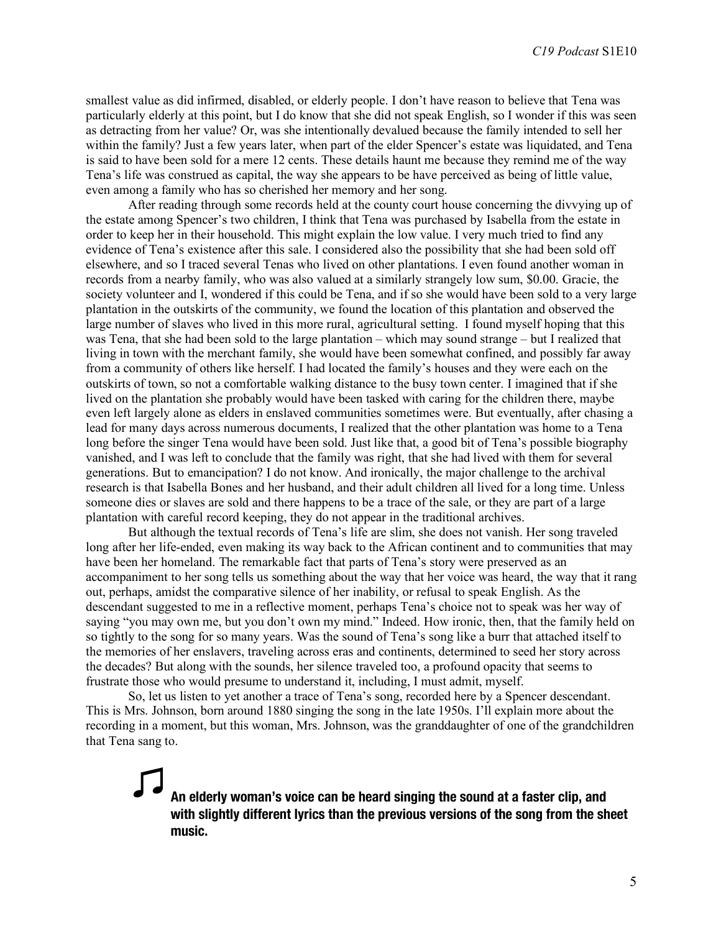smallest value as did infirmed, disabled, or elderly people. I don't have reason to believe that Tena was particularly elderly at this point, but I do know that she did not speak English, so I wonder if this was seen as detracting from her value? Or, was she intentionally devalued because the family intended to sell her within the family? Just a few years later, when part of the elder Spencer's estate was liquidated, and Tena is said to have been sold for a mere 12 cents. These details haunt me because they remind me of the way Tena's life was construed as capital, the way she appears to be have perceived as being of little value, even among a family who has so cherished her memory and her song.

After reading through some records held at the county court house concerning the divvying up of the estate among Spencer's two children, I think that Tena was purchased by Isabella from the estate in order to keep her in their household. This might explain the low value. I very much tried to find any evidence of Tena's existence after this sale. I considered also the possibility that she had been sold off elsewhere, and so I traced several Tenas who lived on other plantations. I even found another woman in records from a nearby family, who was also valued at a similarly strangely low sum, \$0.00. Gracie, the society volunteer and I, wondered if this could be Tena, and if so she would have been sold to a very large plantation in the outskirts of the community, we found the location of this plantation and observed the large number of slaves who lived in this more rural, agricultural setting. I found myself hoping that this was Tena, that she had been sold to the large plantation – which may sound strange – but I realized that living in town with the merchant family, she would have been somewhat confined, and possibly far away from a community of others like herself. I had located the family's houses and they were each on the outskirts of town, so not a comfortable walking distance to the busy town center. I imagined that if she lived on the plantation she probably would have been tasked with caring for the children there, maybe even left largely alone as elders in enslaved communities sometimes were. But eventually, after chasing a lead for many days across numerous documents, I realized that the other plantation was home to a Tena long before the singer Tena would have been sold. Just like that, a good bit of Tena's possible biography vanished, and I was left to conclude that the family was right, that she had lived with them for several generations. But to emancipation? I do not know. And ironically, the major challenge to the archival research is that Isabella Bones and her husband, and their adult children all lived for a long time. Unless someone dies or slaves are sold and there happens to be a trace of the sale, or they are part of a large plantation with careful record keeping, they do not appear in the traditional archives.

But although the textual records of Tena's life are slim, she does not vanish. Her song traveled long after her life-ended, even making its way back to the African continent and to communities that may have been her homeland. The remarkable fact that parts of Tena's story were preserved as an accompaniment to her song tells us something about the way that her voice was heard, the way that it rang out, perhaps, amidst the comparative silence of her inability, or refusal to speak English. As the descendant suggested to me in a reflective moment, perhaps Tena's choice not to speak was her way of saying "you may own me, but you don't own my mind." Indeed. How ironic, then, that the family held on so tightly to the song for so many years. Was the sound of Tena's song like a burr that attached itself to the memories of her enslavers, traveling across eras and continents, determined to seed her story across the decades? But along with the sounds, her silence traveled too, a profound opacity that seems to frustrate those who would presume to understand it, including, I must admit, myself.

So, let us listen to yet another a trace of Tena's song, recorded here by a Spencer descendant. This is Mrs. Johnson, born around 1880 singing the song in the late 1950s. I'll explain more about the recording in a moment, but this woman, Mrs. Johnson, was the granddaughter of one of the grandchildren that Tena sang to.

## **An elderly woman's voice can be heard singing the sound at a faster clip, and with slightly different lyrics than the previous versions of the song from the sheet music.**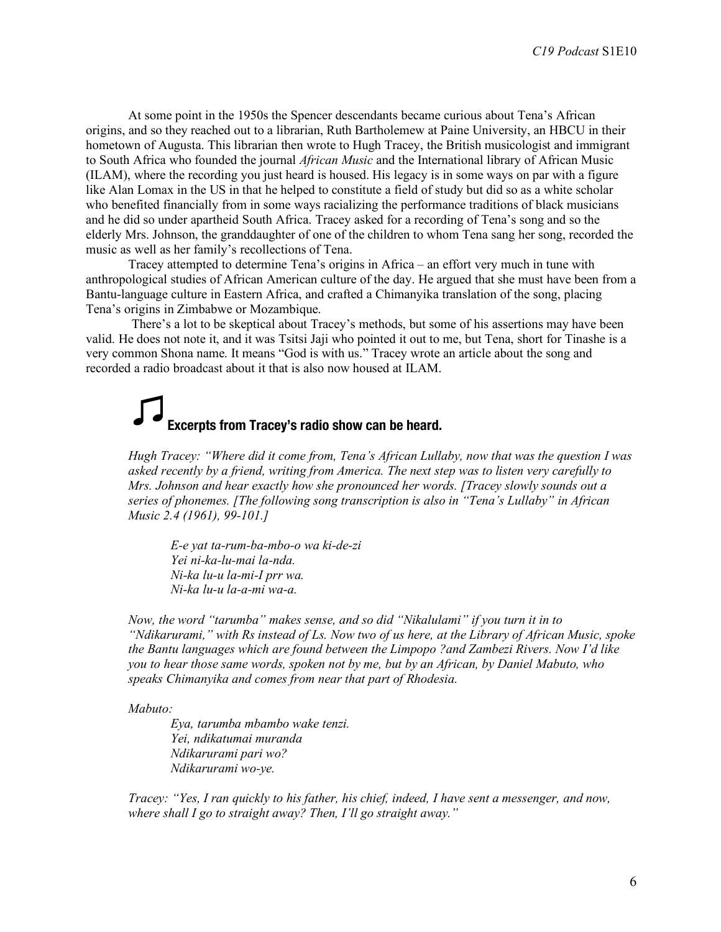At some point in the 1950s the Spencer descendants became curious about Tena's African origins, and so they reached out to a librarian, Ruth Bartholemew at Paine University, an HBCU in their hometown of Augusta. This librarian then wrote to Hugh Tracey, the British musicologist and immigrant to South Africa who founded the journal *African Music* and the International library of African Music (ILAM), where the recording you just heard is housed. His legacy is in some ways on par with a figure like Alan Lomax in the US in that he helped to constitute a field of study but did so as a white scholar who benefited financially from in some ways racializing the performance traditions of black musicians and he did so under apartheid South Africa. Tracey asked for a recording of Tena's song and so the elderly Mrs. Johnson, the granddaughter of one of the children to whom Tena sang her song, recorded the music as well as her family's recollections of Tena.

Tracey attempted to determine Tena's origins in Africa – an effort very much in tune with anthropological studies of African American culture of the day. He argued that she must have been from a Bantu-language culture in Eastern Africa, and crafted a Chimanyika translation of the song, placing Tena's origins in Zimbabwe or Mozambique.

There's a lot to be skeptical about Tracey's methods, but some of his assertions may have been valid. He does not note it, and it was Tsitsi Jaji who pointed it out to me, but Tena, short for Tinashe is a very common Shona name. It means "God is with us." Tracey wrote an article about the song and recorded a radio broadcast about it that is also now housed at ILAM.

## **Excerpts from Tracey's radio show can be heard.**

*Hugh Tracey: "Where did it come from, Tena's African Lullaby, now that was the question I was asked recently by a friend, writing from America. The next step was to listen very carefully to Mrs. Johnson and hear exactly how she pronounced her words. [Tracey slowly sounds out a series of phonemes. [The following song transcription is also in "Tena's Lullaby" in African Music 2.4 (1961), 99-101.]*

*E-e yat ta-rum-ba-mbo-o wa ki-de-zi Yei ni-ka-lu-mai la-nda. Ni-ka lu-u la-mi-I prr wa. Ni-ka lu-u la-a-mi wa-a.*

*Now, the word "tarumba" makes sense, and so did "Nikalulami" if you turn it in to "Ndikarurami," with Rs instead of Ls. Now two of us here, at the Library of African Music, spoke the Bantu languages which are found between the Limpopo ?and Zambezi Rivers. Now I'd like you to hear those same words, spoken not by me, but by an African, by Daniel Mabuto, who speaks Chimanyika and comes from near that part of Rhodesia.* 

*Mabuto:*

*Eya, tarumba mbambo wake tenzi. Yei, ndikatumai muranda Ndikarurami pari wo? Ndikarurami wo-ye.*

*Tracey: "Yes, I ran quickly to his father, his chief, indeed, I have sent a messenger, and now, where shall I go to straight away? Then, I'll go straight away."*